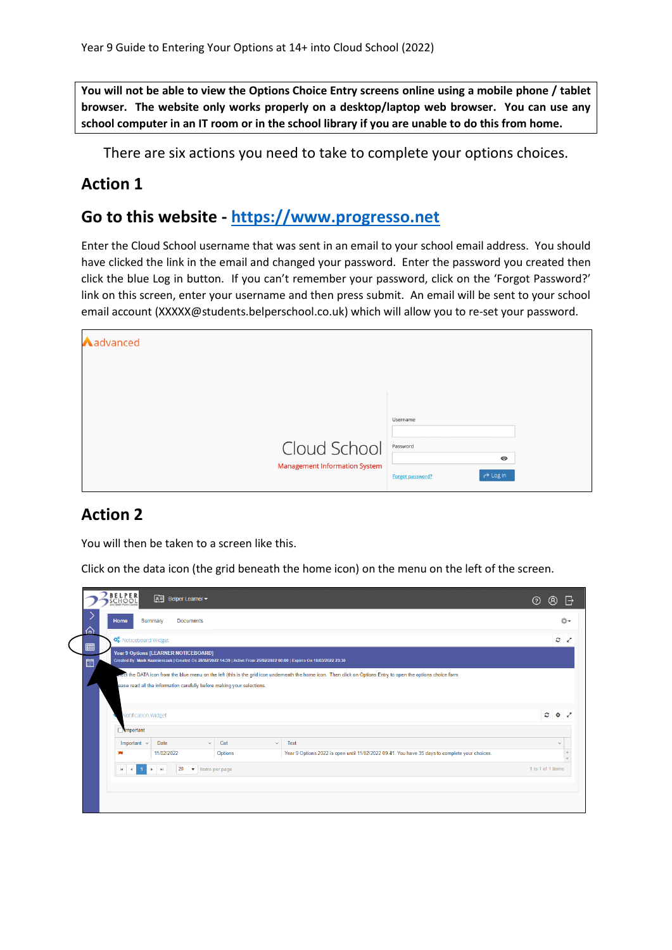**You will not be able to view the Options Choice Entry screens online using a mobile phone / tablet browser. The website only works properly on a desktop/laptop web browser. You can use any school computer in an IT room or in the school library if you are unable to do this from home.**

There are six actions you need to take to complete your options choices.

### **Action 1**

## **Go to this website - [https://www.progresso.net](https://www.progresso.net/)**

Enter the Cloud School username that was sent in an email to your school email address. You should have clicked the link in the email and changed your password. Enter the password you created then click the blue Log in button. If you can't remember your password, click on the 'Forgot Password?' link on this screen, enter your username and then press submit. An email will be sent to your school email account (XXXXX@students.belperschool.co.uk) which will allow you to re-set your password.

| Aadvanced                                            |                                                                                 |
|------------------------------------------------------|---------------------------------------------------------------------------------|
|                                                      |                                                                                 |
| Cloud School<br><b>Management Information System</b> | Username<br>Password<br>$\bf \odot$<br>$\rightarrow$ Log in<br>Forgot password? |

## **Action 2**

You will then be taken to a screen like this.

Click on the data icon (the grid beneath the home icon) on the menu on the left of the screen.

|   | <b>BELPER</b><br>SCHOOL<br>国<br>Belper Learner -                                                                                                                |                                                                            |                                                                                                                                                                  | ඹ<br>$\boxminus$<br>ැ ි |
|---|-----------------------------------------------------------------------------------------------------------------------------------------------------------------|----------------------------------------------------------------------------|------------------------------------------------------------------------------------------------------------------------------------------------------------------|-------------------------|
| 夼 | Home<br>Summary<br><b>Documents</b>                                                                                                                             |                                                                            |                                                                                                                                                                  | ☆→                      |
|   | O <sub>9</sub> Noticeboard Widget                                                                                                                               |                                                                            |                                                                                                                                                                  | o z                     |
| 圖 | Year 9 Options [LEARNER NOTICEBOARD]<br>Created By: Mark Kazmierczak   Created On 28/02/2022 14:39   Active From 25/02/2022 00:00   Expires On 18/03/2022 23:30 |                                                                            |                                                                                                                                                                  |                         |
|   |                                                                                                                                                                 |                                                                            | enect the DATA icon from the blue menu on the left (this is the grid icon underneath the home icon. Then click on Options Entry to open the options choice form. |                         |
|   | Notification Widget                                                                                                                                             |                                                                            |                                                                                                                                                                  | $\circ \circ \circ$     |
|   | <b>Important</b>                                                                                                                                                |                                                                            |                                                                                                                                                                  |                         |
|   | Date<br>Important $\sim$                                                                                                                                        | Cat<br>$\checkmark$                                                        | Text<br>$\checkmark$                                                                                                                                             | $\checkmark$            |
|   | 11/02/2022                                                                                                                                                      | Options                                                                    | Year 9 Options 2022 is open until 11/02/2022 09:41. You have 35 days to complete your choices.                                                                   |                         |
|   |                                                                                                                                                                 | 20<br>v items per page<br>$\vert \cdot \vert$<br>H.<br>$\rightarrow$<br>×. |                                                                                                                                                                  |                         |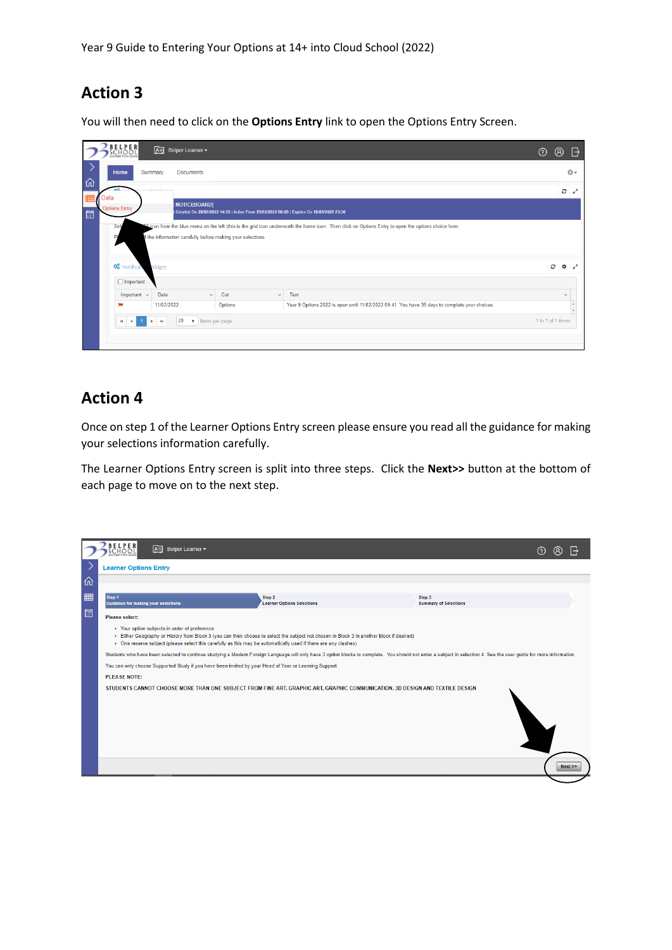# **Action 3**

You will then need to click on the **Options Entry** link to open the Options Entry Screen.

|                  | ELPER                                                                                                          | 困<br>Belper Learner -       |                                                                                          |                                                                                                | $\circledR$<br>$\overline{\mathbb{R}}$<br>ි |  |
|------------------|----------------------------------------------------------------------------------------------------------------|-----------------------------|------------------------------------------------------------------------------------------|------------------------------------------------------------------------------------------------|---------------------------------------------|--|
| 佡                | Home                                                                                                           | Summary<br><b>Documents</b> |                                                                                          |                                                                                                | 改→                                          |  |
| Data             |                                                                                                                |                             |                                                                                          |                                                                                                | $\mathcal{C}$                               |  |
| <b>Book</b><br>圃 | <b>Options Entry</b>                                                                                           | NOTICEBOARD]                | Created On 28/02/2022 14:39   Active From 25/02/2022 00:00   Expires On 18/03/2022 23:30 |                                                                                                |                                             |  |
|                  | Il the information carefully before making your selections.<br><b>O</b> <sup>8</sup> Notifical<br>Widget<br>Ø. |                             |                                                                                          |                                                                                                |                                             |  |
| $\Box$ Important |                                                                                                                |                             |                                                                                          |                                                                                                |                                             |  |
|                  | Important $\sim$                                                                                               | Date<br>$\checkmark$        | Cat<br>$\checkmark$                                                                      | Text                                                                                           | $\checkmark$                                |  |
|                  |                                                                                                                | 11/02/2022                  | Options                                                                                  | Year 9 Options 2022 is open until 11/02/2022 09:41. You have 35 days to complete your choices. |                                             |  |
|                  | 20<br>v items per page<br>$\left  \mathbf{r} \right $<br>Þ<br>$\mathsf{H}$<br>$\blacktriangleleft$             |                             |                                                                                          |                                                                                                |                                             |  |
|                  |                                                                                                                |                             |                                                                                          |                                                                                                |                                             |  |

## **Action 4**

Once on step 1 of the Learner Options Entry screen please ensure you read all the guidance for making your selections information carefully.

The Learner Options Entry screen is split into three steps. Click the **Next>>** button at the bottom of each page to move on to the next step.

|   | $\boxed{8}$ Belper Learner $\blacktriangleright$<br>CHOOI                                                                                                                                                          |                                                                                                                                          |                                        | (?) |      |  |
|---|--------------------------------------------------------------------------------------------------------------------------------------------------------------------------------------------------------------------|------------------------------------------------------------------------------------------------------------------------------------------|----------------------------------------|-----|------|--|
|   | <b>Learner Options Entry</b>                                                                                                                                                                                       |                                                                                                                                          |                                        |     |      |  |
| 仚 |                                                                                                                                                                                                                    |                                                                                                                                          |                                        |     |      |  |
|   | Step 1<br><b>Guidance for making your selections</b>                                                                                                                                                               | Step 2<br><b>Learner Options Selections</b>                                                                                              | Step 3<br><b>Summary of Selections</b> |     |      |  |
| 圖 | Please select:                                                                                                                                                                                                     |                                                                                                                                          |                                        |     |      |  |
|   | • Your option subjects in order of preference<br>. One reserve subject (please select this carefully as this may be automatically used if there are any clashes)                                                   | . Either Geography or History from Block 3 (you can then choose to select the subject not chosen in Block 3 in another block if desired) |                                        |     |      |  |
|   | Students who have been selected to continue studying a Modern Foreign Language will only have 3 option blocks to complete. You should not enter a subject in selection 4. See the user guide for more information. |                                                                                                                                          |                                        |     |      |  |
|   | You can only choose Supported Study if you have been invited by your Head of Year or Learning Support.                                                                                                             |                                                                                                                                          |                                        |     |      |  |
|   | <b>PLEASE NOTE:</b>                                                                                                                                                                                                |                                                                                                                                          |                                        |     |      |  |
|   |                                                                                                                                                                                                                    | STUDENTS CANNOT CHOOSE MORE THAN ONE SUBJECT FROM FINE ART, GRAPHIC ART, GRAPHIC COMMUNICATION, 3D DESIGN AND TEXTILE DESIGN             |                                        |     |      |  |
|   |                                                                                                                                                                                                                    |                                                                                                                                          |                                        |     | Next |  |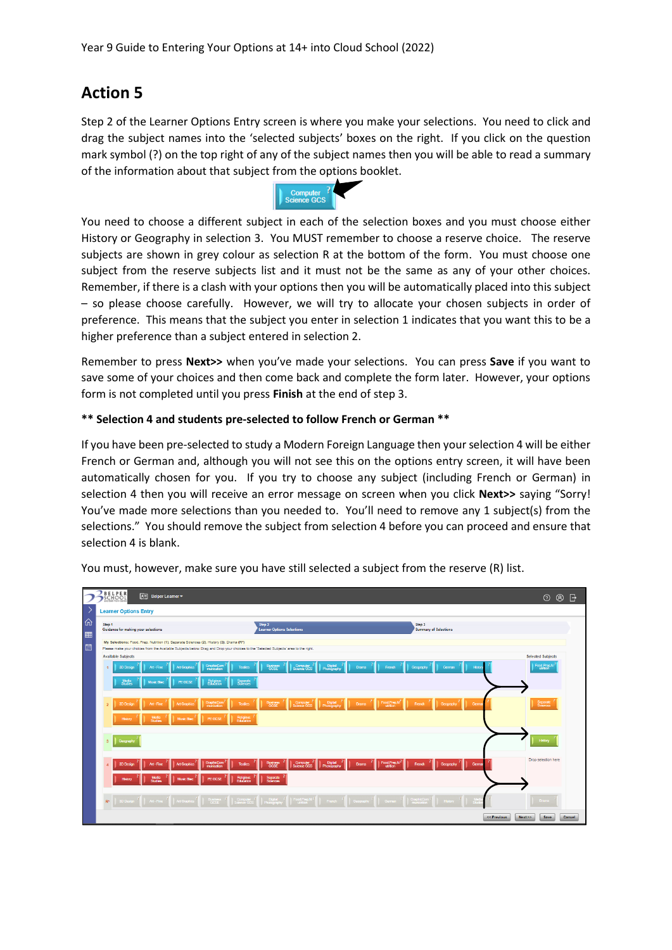## **Action 5**

Step 2 of the Learner Options Entry screen is where you make your selections. You need to click and drag the subject names into the 'selected subjects' boxes on the right. If you click on the question mark symbol (?) on the top right of any of the subject names then you will be able to read a summary of the information about that subject from the options booklet.



You need to choose a different subject in each of the selection boxes and you must choose either History or Geography in selection 3. You MUST remember to choose a reserve choice. The reserve subjects are shown in grey colour as selection R at the bottom of the form. You must choose one subject from the reserve subjects list and it must not be the same as any of your other choices. Remember, if there is a clash with your options then you will be automatically placed into this subject – so please choose carefully. However, we will try to allocate your chosen subjects in order of preference. This means that the subject you enter in selection 1 indicates that you want this to be a higher preference than a subject entered in selection 2.

Remember to press **Next>>** when you've made your selections. You can press **Save** if you want to save some of your choices and then come back and complete the form later. However, your options form is not completed until you press **Finish** at the end of step 3.

#### **\*\* Selection 4 and students pre-selected to follow French or German \*\***

If you have been pre-selected to study a Modern Foreign Language then your selection 4 will be either French or German and, although you will not see this on the options entry screen, it will have been automatically chosen for you. If you try to choose any subject (including French or German) in selection 4 then you will receive an error message on screen when you click **Next>>** saying "Sorry! You've made more selections than you needed to. You'll need to remove any 1 subject(s) from the selections." You should remove the subject from selection 4 before you can proceed and ensure that selection 4 is blank.



You must, however, make sure you have still selected a subject from the reserve (R) list.